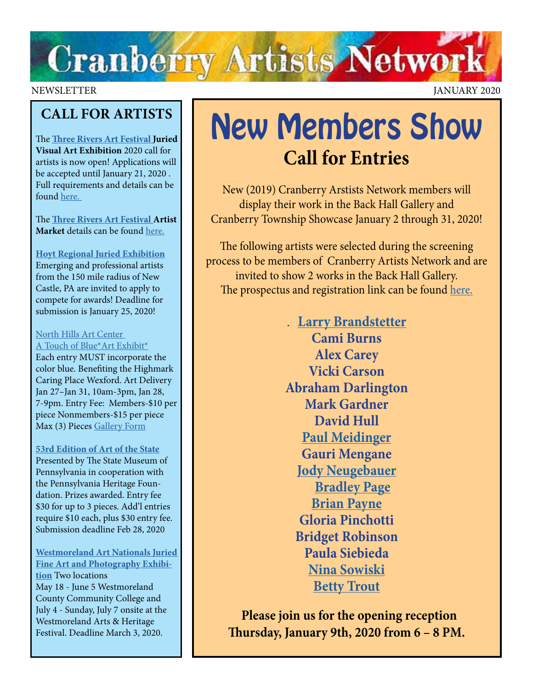# **Cranberry Artists Network**

### **CALL FOR ARTISTS**

The **[Three Rivers Art Festival J](https://traf.trustarts.org/traf_home/artists/juried-visual-art-exhibition)uried Visual Art Exhibition** 2020 call for artists is now open! Applications will be accepted until January 21, 2020 . Full requirements and details can be found [here.](https://traf.trustarts.org/traf_home/artists/juried-visual-art-exhibition)

The **[Three Rivers Art Festival](https://traf.trustarts.org/traf_home/artists/artist-market-info) Artist Market** details can be found [here.](https://traf.trustarts.org/traf_home/artists/artist-market-info)

**[Hoyt Regional Juried Exhibition](https://www.hoytartcenter.org/contribute-products/hoyt-regional-juried-exhibition)** Emerging and professional artists from the 150 mile radius of New Castle, PA are invited to apply to compete for awards! Deadline for submission is January 25, 2020!

[North Hills Art Center](https://northhillsartcenter.org)  [A Touch of Blue\\*Art Exhibit\\*](https://gallery.mailchimp.com/235e460f6071fb80918f26262/files/bddb9499-5365-443a-854c-aec14f05621a/Call_For_Entries_2020.01.pdf) Each entry MUST incorporate the color blue. Benefiting the Highmark Caring Place Wexford. Art Delivery Jan 27–Jan 31, 10am-3pm, Jan 28, 7-9pm. Entry Fee: Members-\$10 per piece Nonmembers-\$15 per piece Max (3) Pieces [Gallery Form](https://gallery.mailchimp.com/235e460f6071fb80918f26262/files/67cfa238-9646-41dd-bf5b-d79b492a2e69/Show_Contract_2018.01.pdf)

**[53rd Edition of Art of the State](https://ethosting.s3.amazonaws.com/artofthestatepa/index.html)** Presented by The State Museum of Pennsylvania in cooperation with the Pennsylvania Heritage Foundation. Prizes awarded. Entry fee \$30 for up to 3 pieces. Add'l entries require \$10 each, plus \$30 entry fee. Submission deadline Feb 28, 2020

**[Westmoreland Art Nationals Juried](https://artsandheritage.com/the-arts/art-nationals/)  [Fine Art and Photography Exhibi](https://artsandheritage.com/the-arts/art-nationals/)[tion](https://artsandheritage.com/the-arts/art-nationals/)** Two locations May 18 - June 5 Westmoreland County Community College and July 4 - Sunday, July 7 onsite at the Westmoreland Arts & Heritage Festival. Deadline March 3, 2020.

# New Members Show **Call for Entries**

New (2019) Cranberry Arstists Network members will display their work in the Back Hall Gallery and Cranberry Township Showcase January 2 through 31, 2020!

The following artists were selected during the screening process to be members of Cranberry Artists Network and are invited to show 2 works in the Back Hall Gallery. The prospectus and registration link can be found [here.](https://www.cranberryartistsnetwork.com/newmember2019)

> . **[Larry Brandstetter](https://www.facebook.com/Larry-Brandstetter-Doodler-379832832491777/) Cami Burns Alex Carey Vicki Carson Abraham Darlington Mark Gardner David Hull [Paul Meidinger](http://www.paulmeidinger.com/) Gauri Mengane [Jody Neugebauer](https://www.facebook.com/Jodyneugebauergourds/) [Bradley Page](http://www.fireandfumes.com) [Brian Payne](https://www.brianpaynestudio.com/) Gloria Pinchotti Bridget Robinson Paula Siebieda [Nina Sowiski](http://www.ninasowiskiphoto.com/nina.html) [Betty Trout](http://www.bettytrout.com)**

 **Please join us for the opening reception Thursday, January 9th, 2020 from 6 – 8 PM.**

NEWSLETTER JANUARY 2020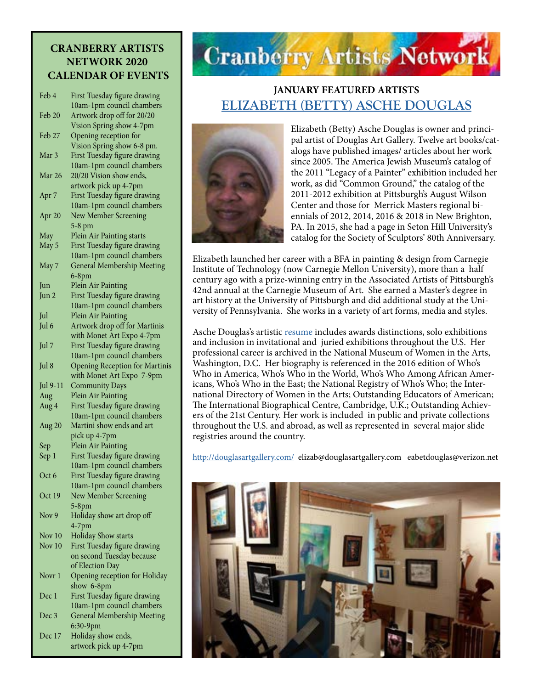### **CRANBERRY ARTISTS NETWORK 2020 CALENDAR OF EVENTS**

| Feb 4             | First Tuesday figure drawing                  |
|-------------------|-----------------------------------------------|
|                   | 10am-1pm council chambers                     |
| Feb 20            | Artwork drop off for 20/20                    |
|                   | Vision Spring show 4-7pm                      |
| Feb 27            | Opening reception for                         |
|                   | Vision Spring show 6-8 pm.                    |
| Mar 3             | First Tuesday figure drawing                  |
|                   | 10am-1pm council chambers                     |
| Mar 26            | 20/20 Vision show ends,                       |
|                   | artwork pick up 4-7pm                         |
|                   |                                               |
| Apr 7             | First Tuesday figure drawing                  |
|                   | 10am-1pm council chambers                     |
| Apr <sub>20</sub> | New Member Screening                          |
|                   | 5-8 pm                                        |
| May               | Plein Air Painting starts                     |
| May 5             | First Tuesday figure drawing                  |
|                   | 10am-1pm council chambers                     |
| May 7             | <b>General Membership Meeting</b>             |
|                   | $6-8$ pm                                      |
| Jun               | Plein Air Painting                            |
| Jun <sub>2</sub>  | First Tuesday figure drawing                  |
|                   | 10am-1pm council chambers                     |
| Jul               | Plein Air Painting                            |
| Jul 6             | Artwork drop off for Martinis                 |
|                   | with Monet Art Expo 4-7pm                     |
| Jul 7             | First Tuesday figure drawing                  |
|                   | 10am-1pm council chambers                     |
| Jul 8             | <b>Opening Reception for Martinis</b>         |
|                   | with Monet Art Expo 7-9pm                     |
|                   |                                               |
| Jul 9-11          | <b>Community Days</b>                         |
| Aug               | Plein Air Painting                            |
| Aug 4             | First Tuesday figure drawing                  |
|                   | 10am-1pm council chambers                     |
| Aug 20            | Martini show ends and art                     |
|                   | pick up 4-7pm                                 |
| Sep               | Plein Air Painting                            |
| Sep 1             | First Tuesday figure drawing                  |
|                   | 10am-1pm council chambers                     |
| Oct 6             | First Tuesday figure drawing                  |
|                   | 10am-1pm council chambers                     |
| Oct 19            | New Member Screening                          |
|                   | 5-8pm                                         |
| Nov 9             |                                               |
|                   |                                               |
|                   | Holiday show art drop off                     |
|                   | 4-7pm                                         |
| Nov 10            | <b>Holiday Show starts</b>                    |
| Nov 10            | First Tuesday figure drawing                  |
|                   | on second Tuesday because                     |
|                   | of Election Day                               |
| Novr 1            | Opening reception for Holiday                 |
|                   | show 6-8pm                                    |
| Dec 1             | First Tuesday figure drawing                  |
|                   | 10am-1pm council chambers                     |
| Dec 3             | <b>General Membership Meeting</b><br>6:30-9pm |

Dec 17 Holiday show ends, artwork pick up 4-7pm

# **Cranberry Artists Network**

### **JANUARY FEATURED ARTISTS [ELIZABETH \(BETTY\) ASCHE DOUGLAS](http://douglasartgallery.com/index.html)**



Elizabeth (Betty) Asche Douglas is owner and principal artist of Douglas Art Gallery. Twelve art books/catalogs have published images/ articles about her work since 2005. The America Jewish Museum's catalog of the 2011 "Legacy of a Painter" exhibition included her work, as did "Common Ground," the catalog of the 2011-2012 exhibition at Pittsburgh's August Wilson Center and those for Merrick Masters regional biennials of 2012, 2014, 2016 & 2018 in New Brighton, PA. In 2015, she had a page in Seton Hill University's catalog for the Society of Sculptors' 80th Anniversary.

Elizabeth launched her career with a BFA in painting & design from Carnegie Institute of Technology (now Carnegie Mellon University), more than a half century ago with a prize-winning entry in the Associated Artists of Pittsburgh's 42nd annual at the Carnegie Museum of Art. She earned a Master's degree in art history at the University of Pittsburgh and did additional study at the University of Pennsylvania. She works in a variety of art forms, media and styles.

Asche Douglas's artistic [resume i](http://douglasartgallery.com/resume.html)ncludes awards distinctions, solo exhibitions and inclusion in invitational and juried exhibitions throughout the U.S. Her professional career is archived in the National Museum of Women in the Arts, Washington, D.C. Her biography is referenced in the 2016 edition of Who's Who in America, Who's Who in the World, Who's Who Among African Americans, Who's Who in the East; the National Registry of Who's Who; the International Directory of Women in the Arts; Outstanding Educators of American; The International Biographical Centre, Cambridge, U.K.; Outstanding Achievers of the 21st Century. Her work is included in public and private collections throughout the U.S. and abroad, as well as represented in several major slide registries around the country.

<http://douglasartgallery.com/> elizab@douglasartgallery.com eabetdouglas@verizon.net

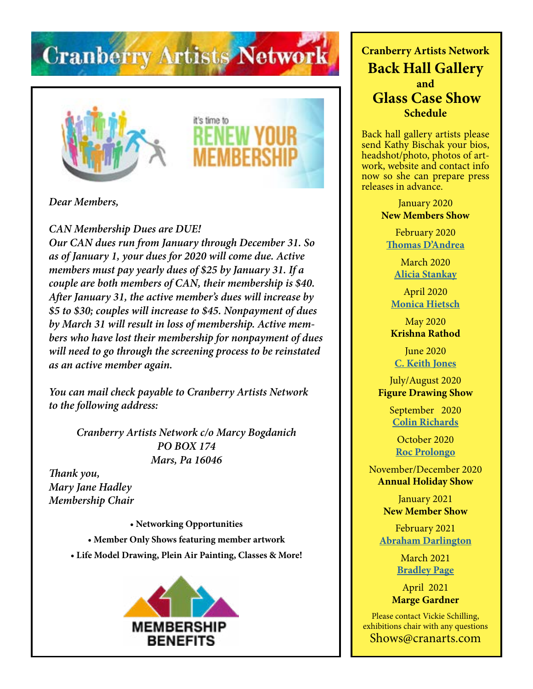# **Cranberry Artists Network**





*Dear Members,* 

*CAN Membership Dues are DUE!*

*Our CAN dues run from January through December 31. So as of January 1, your dues for 2020 will come due. Active members must pay yearly dues of \$25 by January 31. If a couple are both members of CAN, their membership is \$40. After January 31, the active member's dues will increase by \$5 to \$30; couples will increase to \$45. Nonpayment of dues by March 31 will result in loss of membership. Active members who have lost their membership for nonpayment of dues will need to go through the screening process to be reinstated as an active member again.*

*You can mail check payable to Cranberry Artists Network to the following address:*

> *Cranberry Artists Network c/o Marcy Bogdanich PO BOX 174 Mars, Pa 16046*

*Thank you, Mary Jane Hadley Membership Chair*

> **• Networking Opportunities • Member Only Shows featuring member artwork • Life Model Drawing, Plein Air Painting, Classes & More!**



**Cranberry Artists Network Back Hall Gallery and Glass Case Show Schedule** 

Back hall gallery artists please send Kathy Bischak your bios, headshot/photo, photos of artwork, website and contact info now so she can prepare press releases in advance.

> January 2020 **New Members Show**

February 2020 **[Thomas D'Andrea](http://www.706photo.com)**

March 2020 **[Alicia Stankay](https://www.facebook.com/alicia.stankay)**

April 2020 **[Monica Hietsch](https://www.monicahietsch.com/)**

May 2020 **Krishna Rathod**

June 2020 **[C. Keith Jones](http://ckeithjonesartist.com/)**

July/August 2020 **Figure Drawing Show**

> September 2020 **[Colin Richards](https://www.colinrichardsart.com/)**

October 2020 **[Roc Prolongo](https://www.rocprologo.com/)**

November/December 2020 **Annual Holiday Show**

> January 2021 **New Member Show**

February 2021 **[Abraham Darlington](https://www.facebook.com/abraham.darlington)**

> March 2021 **[Bradley Page](https://fireandfumes.com/)**

April 2021 **Marge Gardner**

Please contact Vickie Schilling, exhibitions chair with any questions Shows@cranarts.com